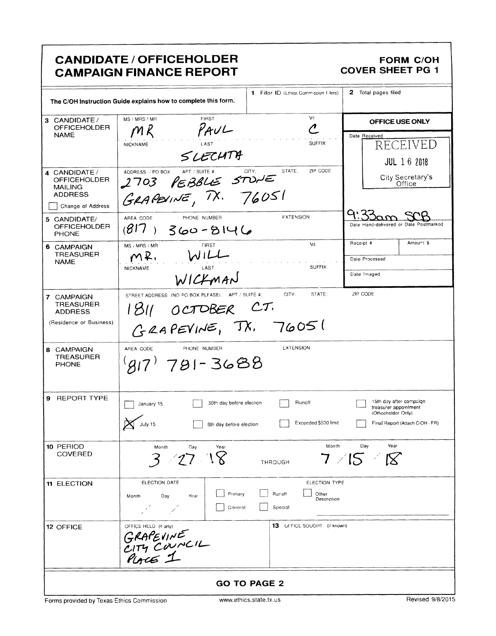|                                                                                               | <b>CANDIDATE / OFFICEHOLDER</b><br><b>CAMPAIGN FINANCE REPORT</b>                                                         | <b>FORM C/OH</b><br><b>COVER SHEET PG 1</b>                                                                |  |  |  |  |
|-----------------------------------------------------------------------------------------------|---------------------------------------------------------------------------------------------------------------------------|------------------------------------------------------------------------------------------------------------|--|--|--|--|
|                                                                                               | 1 Filer ID (Ethics Commission Filers)<br>The C/OH Instruction Guide explains how to complete this form.                   | 2 Total pages filed                                                                                        |  |  |  |  |
| 3 CANDIDATE/<br><b>OFFICEHOLDER</b><br><b>NAME</b>                                            | VI.<br><b>FIRST</b><br>MS / MRS / MR<br>$\mathcal C$<br>PAVL<br>$M\ell$<br><b>SUFFIX</b><br><b>NICKNAME</b><br>SLECHTA    | OFFICE USE ONLY<br>Date Received<br>RECEIVED<br><b>JUL 16 2018</b>                                         |  |  |  |  |
| 4 CANDIDATE /<br><b>OFFICEHOLDER</b><br><b>MAILING</b><br><b>ADDRESS</b><br>Change of Address | STATE.<br>ZIP CODE<br>APT / SUITE #.<br>CITY.<br>ADDRESS / PO BOX.<br>2703 PEBBLE STONE                                   | City Secretary's<br>Office                                                                                 |  |  |  |  |
| 5 CANDIDATE/<br><b>OFFICEHOLDER</b><br><b>PHONE</b>                                           | <b>FXTENSION</b><br>AREA CODE<br>PHONE NUMBER<br>$(817)$ 360-8146                                                         | ५ २<br>Date Hand-delivered or Date Postmarked                                                              |  |  |  |  |
| 6 CAMPAIGN<br><b>TREASURER</b><br><b>NAME</b>                                                 | MI<br><b>FIRST</b><br>MS / MRS / MR<br>WILL<br>MR.<br><b>SUFFIX</b><br>NICKNAME<br>LAST<br>WICKMAN                        | Amount \$<br>Receipt #<br>Date Processed<br>Date Imaged                                                    |  |  |  |  |
| 7 CAMPAIGN<br><b>TREASURER</b><br><b>ADDRESS</b><br>(Residence or Business)                   | CITY:<br>STATE:<br>STREET ADDRESS (NO PO BOX PLEASE), APT / SUITE #:<br>OCTOBER CT.<br>1811<br>GRAPEVINE, TX. 76051       | ZIP CODE                                                                                                   |  |  |  |  |
| 8 CAMPAIGN<br><b>TREASURER</b><br><b>PHONE</b>                                                | <b>EXTENSION</b><br>PHONE NUMBER<br>AREA CODE<br>$917$ 781-3688                                                           |                                                                                                            |  |  |  |  |
| 9 REPORT TYPE                                                                                 | $\Box$ January 15<br>30th day before election [ Runoff<br>July 15<br>Exceeded \$500 limit<br>8th day before election      | 15th day after campaign<br>treasurer appointment<br>(Officeholder Only)<br>Final Report (Attach C/OH - FR) |  |  |  |  |
| 10 PERIOD<br>COVERED                                                                          | Month<br>Month<br>Year<br>Day<br>3 27 18<br><b>THROUGH</b>                                                                | Year<br>Day<br>$7$ /15 /18                                                                                 |  |  |  |  |
| <b>11 ELECTION</b>                                                                            | ELECTION DATE<br>ELECTION TYPE<br>Primary<br>Runoff<br>Other<br>Day<br>Year<br>Month<br>Description<br>Goneral<br>Special |                                                                                                            |  |  |  |  |
| 12 OFFICE                                                                                     | 13 OFFICL SOUGHT (if known)<br>OFFICE HELD (if any)<br>GRAPEVINE<br>CITY COUNCIL<br>PLACE 1                               |                                                                                                            |  |  |  |  |
| <b>GO TO PAGE 2</b>                                                                           |                                                                                                                           |                                                                                                            |  |  |  |  |

٦